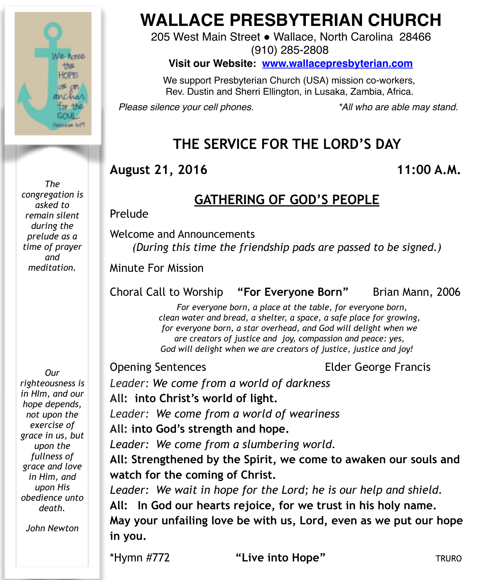

*The congregation is asked to remain silent during the prelude as a time of prayer and meditation.*

*righteousness is in HIm, and our hope depends, not upon the exercise of grace in us, but upon the fullness of grace and love in Him, and upon His obedience unto death.*

*Our* 

*John Newton*

# **WALLACE PRESBYTERIAN CHURCH**

205 West Main Street . Wallace, North Carolina 28466 (910) 285-2808

**Visit our Website: [www.wallacepresbyterian.com](http://www.wallacepresbyterian.com)**

 We support Presbyterian Church (USA) mission co-workers, Rev. Dustin and Sherri Ellington, in Lusaka, Zambia, Africa.

*Please silence your cell phones. \*All who are able may stand.*

# **THE SERVICE FOR THE LORD'S DAY**

#### **August 21, 2016 11:00 A.M.**

### **GATHERING OF GOD'S PEOPLE**

Prelude

Welcome and Announcements *(During this time the friendship pads are passed to be signed.)*

Minute For Mission

#### Choral Call to Worship **"For Everyone Born"** Brian Mann, 2006

 *For everyone born, a place at the table, for everyone born, clean water and bread, a shelter, a space, a safe place for growing, for everyone born, a star overhead, and God will delight when we are creators of justice and joy, compassion and peace: yes, God will delight when we are creators of justice, justice and joy!*

Opening Sentences Elder George Francis

*Leader: We come from a world of darkness* **All: into Christ's world of light.**

*Leader: We come from a world of weariness*

**All: into God's strength and hope.**

*Leader: We come from a slumbering world.*

**All: Strengthened by the Spirit, we come to awaken our souls and watch for the coming of Christ.**

*Leader: We wait in hope for the Lord; he is our help and shield.*

**All: In God our hearts rejoice, for we trust in his holy name.** 

**May your unfailing love be with us, Lord, even as we put our hope in you.**

\*Hymn #772 **"Live into Hope"** TRURO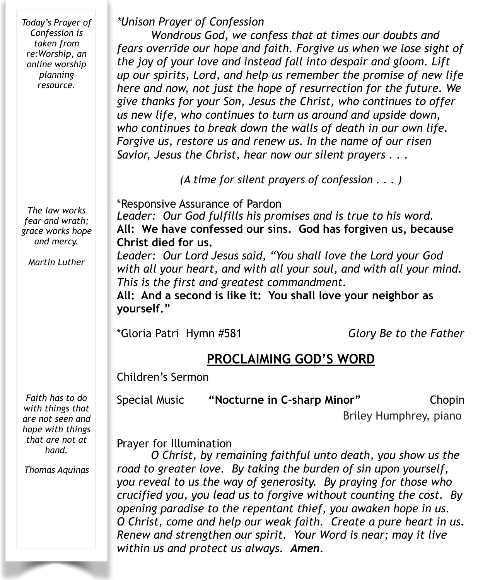*Today's Prayer of Confession is taken from re:Worship, an online worship planning resource.* 

*The law works fear and wrath; grace works hope and mercy.*

*Martin Luther*

*\*Unison Prayer of Confession*

*Wondrous God, we confess that at times our doubts and fears override our hope and faith. Forgive us when we lose sight of the joy of your love and instead fall into despair and gloom. Lift up our spirits, Lord, and help us remember the promise of new life here and now, not just the hope of resurrection for the future. We give thanks for your Son, Jesus the Christ, who continues to offer us new life, who continues to turn us around and upside down, who continues to break down the walls of death in our own life. Forgive us, restore us and renew us. In the name of our risen Savior, Jesus the Christ, hear now our silent prayers . . .* 

*(A time for silent prayers of confession . . . )* 

\*Responsive Assurance of Pardon *Leader: Our God fulfills his promises and is true to his word.*  **All: We have confessed our sins. God has forgiven us, because Christ died for us.** 

*Leader: Our Lord Jesus said, "You shall love the Lord your God with all your heart, and with all your soul, and with all your mind. This is the first and greatest commandment.* 

**All: And a second is like it: You shall love your neighbor as yourself."**

\*Gloria Patri Hymn #581 *Glory Be to the Father*

## **PROCLAIMING GOD'S WORD**

Children's Sermon

Special Music **"Nocturne in C-sharp Minor"** Chopin

Briley Humphrey, piano

Prayer for Illumination

 *O Christ, by remaining faithful unto death, you show us the road to greater love. By taking the burden of sin upon yourself, you reveal to us the way of generosity. By praying for those who crucified you, you lead us to forgive without counting the cost. By opening paradise to the repentant thief, you awaken hope in us. O Christ, come and help our weak faith. Create a pure heart in us. Renew and strengthen our spirit. Your Word is near; may it live within us and protect us always. Amen.*

*Faith has to do with things that are not seen and hope with things that are not at hand.*

*Thomas Aquinas*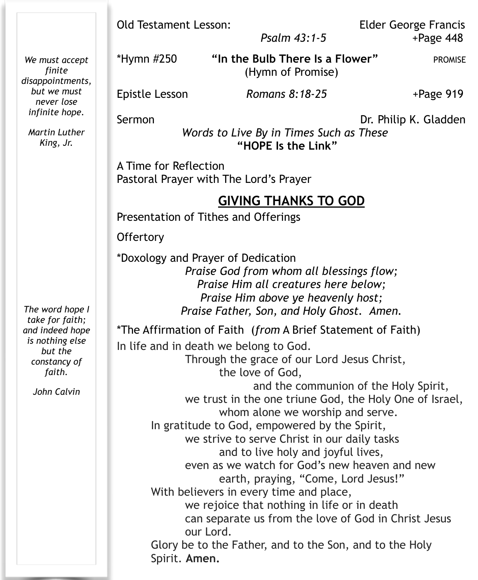|                                                                                                                              | <b>Old Testament Lesson:</b><br><b>Elder George Francis</b><br>Psalm 43:1-5<br>$+$ Page 448                                                                                                                                                                                                                                                                                                                                                                                                                                                                                                                                                                                                                |
|------------------------------------------------------------------------------------------------------------------------------|------------------------------------------------------------------------------------------------------------------------------------------------------------------------------------------------------------------------------------------------------------------------------------------------------------------------------------------------------------------------------------------------------------------------------------------------------------------------------------------------------------------------------------------------------------------------------------------------------------------------------------------------------------------------------------------------------------|
| We must accept<br>finite<br>disappointments,<br>but we must<br>never lose<br>infinite hope.<br>Martin Luther<br>King, Jr.    | "In the Bulb There Is a Flower"<br>*Hymn #250<br><b>PROMISE</b><br>(Hymn of Promise)                                                                                                                                                                                                                                                                                                                                                                                                                                                                                                                                                                                                                       |
|                                                                                                                              | Romans 8:18-25<br>$+Page 919$<br>Epistle Lesson                                                                                                                                                                                                                                                                                                                                                                                                                                                                                                                                                                                                                                                            |
|                                                                                                                              | Sermon<br>Dr. Philip K. Gladden<br>Words to Live By in Times Such as These<br>"HOPE Is the Link"                                                                                                                                                                                                                                                                                                                                                                                                                                                                                                                                                                                                           |
| The word hope I<br>take for faith;<br>and indeed hope<br>is nothing else<br>but the<br>constancy of<br>faith.<br>John Calvin | A Time for Reflection<br>Pastoral Prayer with The Lord's Prayer                                                                                                                                                                                                                                                                                                                                                                                                                                                                                                                                                                                                                                            |
|                                                                                                                              | <b>GIVING THANKS TO GOD</b><br>Presentation of Tithes and Offerings                                                                                                                                                                                                                                                                                                                                                                                                                                                                                                                                                                                                                                        |
|                                                                                                                              | Offertory                                                                                                                                                                                                                                                                                                                                                                                                                                                                                                                                                                                                                                                                                                  |
|                                                                                                                              | *Doxology and Prayer of Dedication<br>Praise God from whom all blessings flow;<br>Praise Him all creatures here below;<br>Praise Him above ye heavenly host;<br>Praise Father, Son, and Holy Ghost. Amen.                                                                                                                                                                                                                                                                                                                                                                                                                                                                                                  |
|                                                                                                                              | *The Affirmation of Faith (from A Brief Statement of Faith)                                                                                                                                                                                                                                                                                                                                                                                                                                                                                                                                                                                                                                                |
|                                                                                                                              | In life and in death we belong to God.<br>Through the grace of our Lord Jesus Christ,<br>the love of God,<br>and the communion of the Holy Spirit,<br>we trust in the one triune God, the Holy One of Israel,<br>whom alone we worship and serve.<br>In gratitude to God, empowered by the Spirit,<br>we strive to serve Christ in our daily tasks<br>and to live holy and joyful lives,<br>even as we watch for God's new heaven and new<br>earth, praying, "Come, Lord Jesus!"<br>With believers in every time and place,<br>we rejoice that nothing in life or in death<br>can separate us from the love of God in Christ Jesus<br>our Lord.<br>Glory be to the Father, and to the Son, and to the Holy |
|                                                                                                                              | Spirit. Amen.                                                                                                                                                                                                                                                                                                                                                                                                                                                                                                                                                                                                                                                                                              |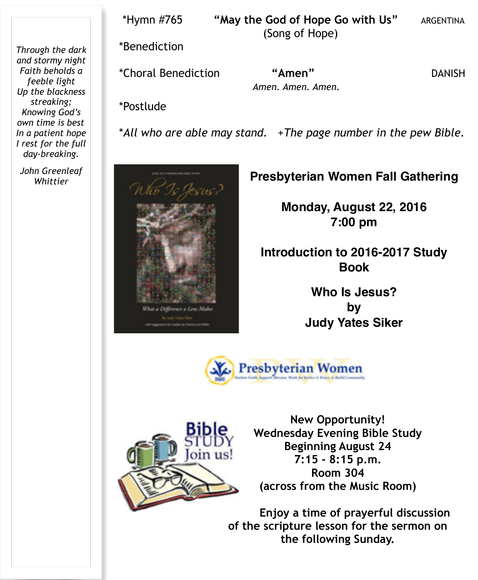*Through the dark and stormy night Faith beholds a feeble light Up the blackness streaking; Knowing God's own time is best In a patient hope I rest for the full day-breaking.* 

*John Greenleaf* 

 \*Hymn #765 **"May the God of Hope Go with Us"** ARGENTINA (Song of Hope)

\*Benediction

\*Choral Benediction **"Amen"** DANISH

*Amen. Amen. Amen.*

\*Postlude

\**All who are able may stand.* +*The page number in the pew Bible.* 

#### *Whittier* **Presbyterian Women Fall Gathering**

**Monday, August 22, 2016 7:00 pm**

**Introduction to 2016-2017 Study Book**

> **Who Is Jesus? by Judy Yates Siker**





we a Lew Ma

**New Opportunity! Wednesday Evening Bible Study Beginning August 24 7:15 - 8:15 p.m. Room 304 (across from the Music Room)** 

**Enjoy a time of prayerful discussion of the scripture lesson for the sermon on the following Sunday.**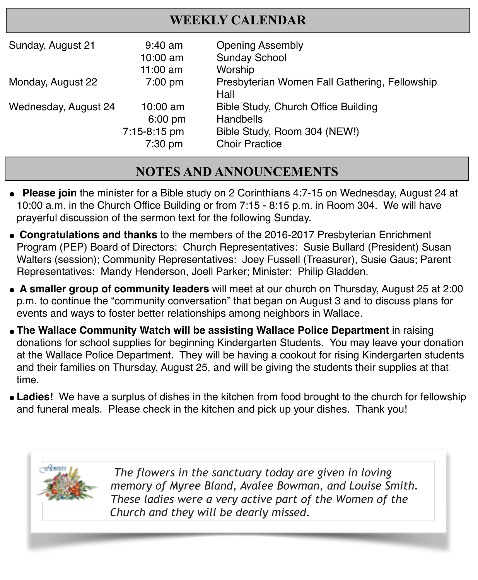## **WEEKLY CALENDAR**

| Sunday, August 21    | $9:40$ am    | <b>Opening Assembly</b>                       |
|----------------------|--------------|-----------------------------------------------|
|                      | 10:00 am     | <b>Sunday School</b>                          |
|                      | $11:00$ am   | Worship                                       |
| Monday, August 22    | $7:00$ pm    | Presbyterian Women Fall Gathering, Fellowship |
|                      |              | Hall                                          |
| Wednesday, August 24 | $10:00$ am   | Bible Study, Church Office Building           |
|                      | $6:00$ pm    | Handbells                                     |
|                      | 7:15-8:15 pm | Bible Study, Room 304 (NEW!)                  |
|                      | 7:30 pm      | <b>Choir Practice</b>                         |

# **NOTES AND ANNOUNCEMENTS**

- **Please join** the minister for a Bible study on 2 Corinthians 4:7-15 on Wednesday, August 24 at 10:00 a.m. in the Church Office Building or from 7:15 - 8:15 p.m. in Room 304. We will have prayerful discussion of the sermon text for the following Sunday.
- " **Congratulations and thanks** to the members of the 2016-2017 Presbyterian Enrichment Program (PEP) Board of Directors: Church Representatives: Susie Bullard (President) Susan Walters (session); Community Representatives: Joey Fussell (Treasurer), Susie Gaus; Parent Representatives: Mandy Henderson, Joell Parker; Minister: Philip Gladden.
- " **A smaller group of community leaders** will meet at our church on Thursday, August 25 at 2:00 p.m. to continue the "community conversation" that began on August 3 and to discuss plans for events and ways to foster better relationships among neighbors in Wallace.
- **The Wallace Community Watch will be assisting Wallace Police Department** in raising donations for school supplies for beginning Kindergarten Students. You may leave your donation at the Wallace Police Department. They will be having a cookout for rising Kindergarten students and their families on Thursday, August 25, and will be giving the students their supplies at that time.
- **Ladies!** We have a surplus of dishes in the kitchen from food brought to the church for fellowship and funeral meals. Please check in the kitchen and pick up your dishes. Thank you!



 *The flowers in the sanctuary today are given in loving memory of Myree Bland, Avalee Bowman, and Louise Smith. These ladies were a very active part of the Women of the Church and they will be dearly missed.*